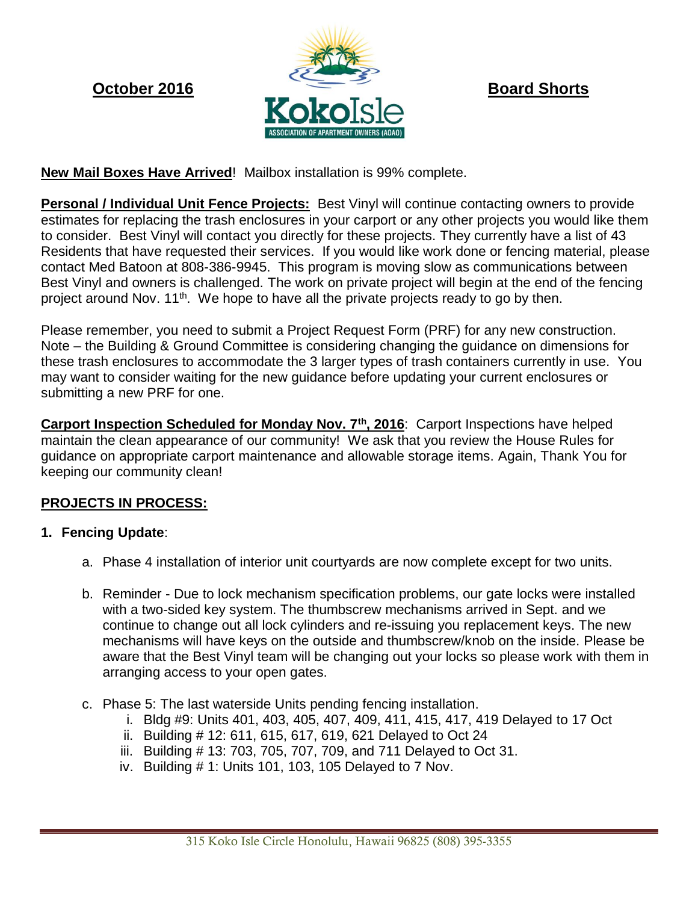

# **New Mail Boxes Have Arrived**! Mailbox installation is 99% complete.

**Personal / Individual Unit Fence Projects:** Best Vinyl will continue contacting owners to provide estimates for replacing the trash enclosures in your carport or any other projects you would like them to consider. Best Vinyl will contact you directly for these projects. They currently have a list of 43 Residents that have requested their services. If you would like work done or fencing material, please contact Med Batoon at 808-386-9945. This program is moving slow as communications between Best Vinyl and owners is challenged. The work on private project will begin at the end of the fencing project around Nov.  $11<sup>th</sup>$ . We hope to have all the private projects ready to go by then.

Please remember, you need to submit a Project Request Form (PRF) for any new construction. Note – the Building & Ground Committee is considering changing the guidance on dimensions for these trash enclosures to accommodate the 3 larger types of trash containers currently in use. You may want to consider waiting for the new guidance before updating your current enclosures or submitting a new PRF for one.

**Carport Inspection Scheduled for Monday Nov. 7th, 2016**: Carport Inspections have helped maintain the clean appearance of our community! We ask that you review the House Rules for guidance on appropriate carport maintenance and allowable storage items. Again, Thank You for keeping our community clean!

# **PROJECTS IN PROCESS:**

### **1. Fencing Update**:

- a. Phase 4 installation of interior unit courtyards are now complete except for two units.
- b. Reminder Due to lock mechanism specification problems, our gate locks were installed with a two-sided key system. The thumbscrew mechanisms arrived in Sept. and we continue to change out all lock cylinders and re-issuing you replacement keys. The new mechanisms will have keys on the outside and thumbscrew/knob on the inside. Please be aware that the Best Vinyl team will be changing out your locks so please work with them in arranging access to your open gates.
- c. Phase 5: The last waterside Units pending fencing installation.
	- i. Bldg #9: Units 401, 403, 405, 407, 409, 411, 415, 417, 419 Delayed to 17 Oct
	- ii. Building # 12: 611, 615, 617, 619, 621 Delayed to Oct 24
	- iii. Building # 13: 703, 705, 707, 709, and 711 Delayed to Oct 31.
	- iv. Building # 1: Units 101, 103, 105 Delayed to 7 Nov.